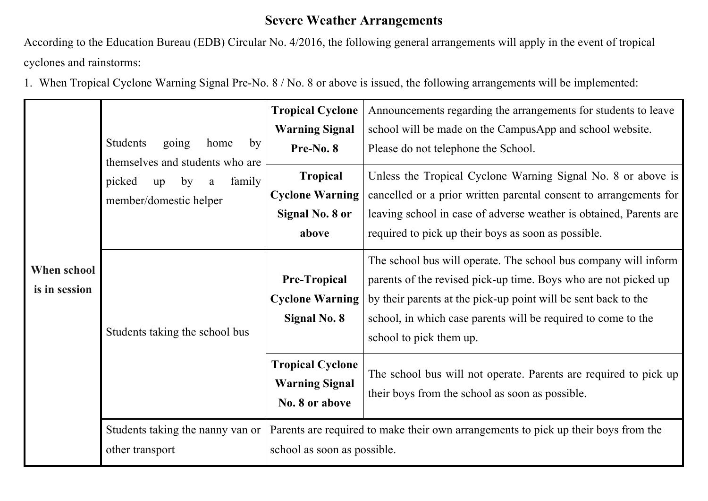## **Severe Weather Arrangements**

According to the Education Bureau (EDB) Circular No. 4/2016, the following general arrangements will apply in the event of tropical cyclones and rainstorms:

1. When Tropical Cyclone Warning Signal Pre-No. 8 / No. 8 or above is issued, the following arrangements will be implemented:

| When school<br>is in session | Students<br>going<br>home<br>by<br>themselves and students who are<br>picked<br>family<br>by<br>up<br>a<br>member/domestic helper | <b>Tropical Cyclone</b><br><b>Warning Signal</b><br>Pre-No. 8<br><b>Tropical</b><br><b>Cyclone Warning</b><br><b>Signal No. 8 or</b><br>above | Announcements regarding the arrangements for students to leave<br>school will be made on the CampusApp and school website.<br>Please do not telephone the School.<br>Unless the Tropical Cyclone Warning Signal No. 8 or above is<br>cancelled or a prior written parental consent to arrangements for<br>leaving school in case of adverse weather is obtained, Parents are<br>required to pick up their boys as soon as possible. |
|------------------------------|-----------------------------------------------------------------------------------------------------------------------------------|-----------------------------------------------------------------------------------------------------------------------------------------------|-------------------------------------------------------------------------------------------------------------------------------------------------------------------------------------------------------------------------------------------------------------------------------------------------------------------------------------------------------------------------------------------------------------------------------------|
|                              | Students taking the school bus                                                                                                    | <b>Pre-Tropical</b><br><b>Cyclone Warning</b><br><b>Signal No. 8</b>                                                                          | The school bus will operate. The school bus company will inform<br>parents of the revised pick-up time. Boys who are not picked up<br>by their parents at the pick-up point will be sent back to the<br>school, in which case parents will be required to come to the<br>school to pick them up.                                                                                                                                    |
|                              |                                                                                                                                   | <b>Tropical Cyclone</b><br><b>Warning Signal</b><br>No. 8 or above                                                                            | The school bus will not operate. Parents are required to pick up<br>their boys from the school as soon as possible.                                                                                                                                                                                                                                                                                                                 |
|                              | Students taking the nanny van or<br>other transport                                                                               | Parents are required to make their own arrangements to pick up their boys from the<br>school as soon as possible.                             |                                                                                                                                                                                                                                                                                                                                                                                                                                     |